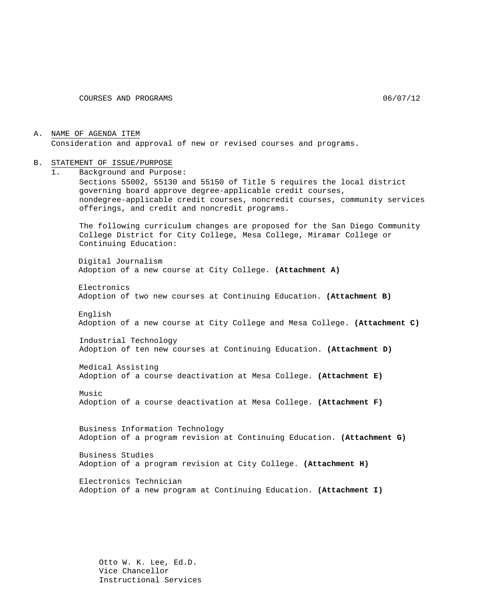A. NAME OF AGENDA ITEM Consideration and approval of new or revised courses and programs.

#### B. STATEMENT OF ISSUE/PURPOSE

1. Background and Purpose: Sections 55002, 55130 and 55150 of Title 5 requires the local district governing board approve degree-applicable credit courses, nondegree-applicable credit courses, noncredit courses, community services offerings, and credit and noncredit programs. The following curriculum changes are proposed for the San Diego Community College District for City College, Mesa College, Miramar College or Continuing Education: Digital Journalism Adoption of a new course at City College. **(Attachment A)** Electronics Adoption of two new courses at Continuing Education. **(Attachment B)** English Adoption of a new course at City College and Mesa College. **(Attachment C)** Industrial Technology Adoption of ten new courses at Continuing Education. **(Attachment D)** Medical Assisting Adoption of a course deactivation at Mesa College. **(Attachment E)** Music Adoption of a course deactivation at Mesa College. **(Attachment F)** Business Information Technology Adoption of a program revision at Continuing Education. **(Attachment G)** Business Studies Adoption of a program revision at City College. **(Attachment H)** Electronics Technician Adoption of a new program at Continuing Education. **(Attachment I)**

> Otto W. K. Lee, Ed.D. Vice Chancellor Instructional Services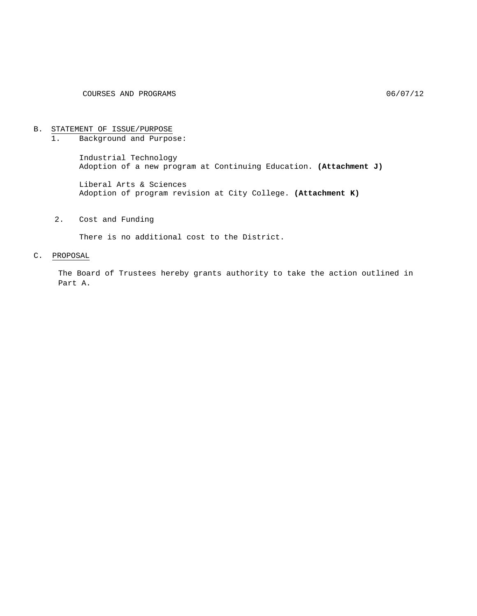# B. STATEMENT OF ISSUE/PURPOSE<br>1. Background and Purpos

1. Background and Purpose:

Industrial Technology Adoption of a new program at Continuing Education. **(Attachment J)**

Liberal Arts & Sciences Adoption of program revision at City College. **(Attachment K)**

2. Cost and Funding

There is no additional cost to the District.

#### C. PROPOSAL

The Board of Trustees hereby grants authority to take the action outlined in Part A.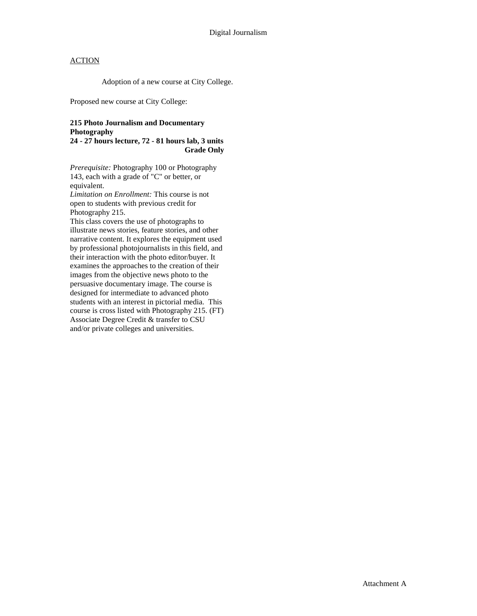Adoption of a new course at City College.

Proposed new course at City College:

#### **215 Photo Journalism and Documentary Photography**

**24 - 27 hours lecture, 72 - 81 hours lab, 3 units Grade Only**

*Prerequisite:* Photography 100 or Photography 143, each with a grade of "C" or better, or equivalent.

*Limitation on Enrollment:* This course is not open to students with previous credit for Photography 215.

This class covers the use of photographs to illustrate news stories, feature stories, and other narrative content. It explores the equipment used by professional photojournalists in this field, and their interaction with the photo editor/buyer. It examines the approaches to the creation of their images from the objective news photo to the persuasive documentary image. The course is designed for intermediate to advanced photo students with an interest in pictorial media. This course is cross listed with Photography 215. (FT) Associate Degree Credit & transfer to CSU and/or private colleges and universities.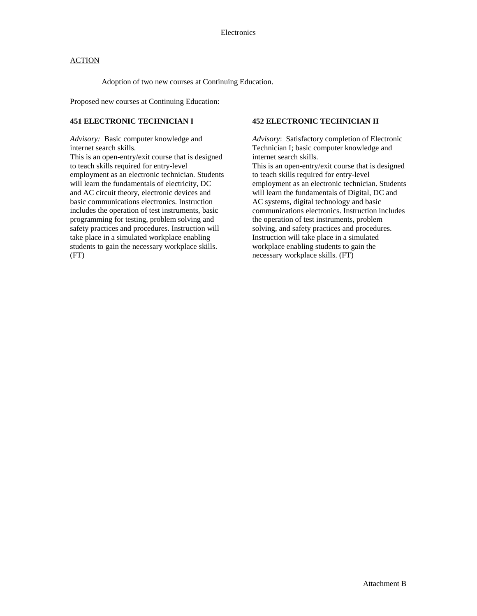Adoption of two new courses at Continuing Education.

Proposed new courses at Continuing Education:

#### **451 ELECTRONIC TECHNICIAN I**

*Advisory:* Basic computer knowledge and internet search skills.

This is an open-entry/exit course that is designed to teach skills required for entry-level employment as an electronic technician. Students will learn the fundamentals of electricity, DC and AC circuit theory, electronic devices and basic communications electronics. Instruction includes the operation of test instruments, basic programming for testing, problem solving and safety practices and procedures. Instruction will take place in a simulated workplace enabling students to gain the necessary workplace skills. (FT)

#### **452 ELECTRONIC TECHNICIAN II**

*Advisory*: Satisfactory completion of Electronic Technician I; basic computer knowledge and internet search skills.

This is an open-entry/exit course that is designed to teach skills required for entry-level employment as an electronic technician. Students will learn the fundamentals of Digital, DC and AC systems, digital technology and basic communications electronics. Instruction includes the operation of test instruments, problem solving, and safety practices and procedures. Instruction will take place in a simulated workplace enabling students to gain the necessary workplace skills. (FT)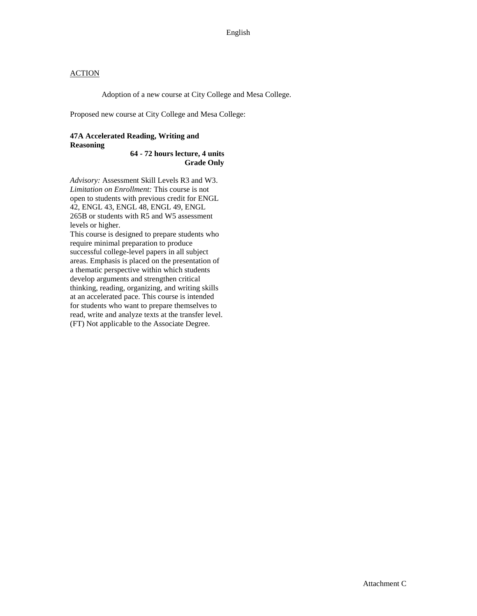Adoption of a new course at City College and Mesa College.

Proposed new course at City College and Mesa College:

### **47A Accelerated Reading, Writing and Reasoning**

**64 - 72 hours lecture, 4 units Grade Only**

*Advisory:* Assessment Skill Levels R3 and W3. *Limitation on Enrollment:* This course is not open to students with previous credit for ENGL 42, ENGL 43, ENGL 48, ENGL 49, ENGL 265B or students with R5 and W5 assessment levels or higher.

This course is designed to prepare students who require minimal preparation to produce successful college-level papers in all subject areas. Emphasis is placed on the presentation of a thematic perspective within which students develop arguments and strengthen critical thinking, reading, organizing, and writing skills at an accelerated pace. This course is intended for students who want to prepare themselves to read, write and analyze texts at the transfer level. (FT) Not applicable to the Associate Degree.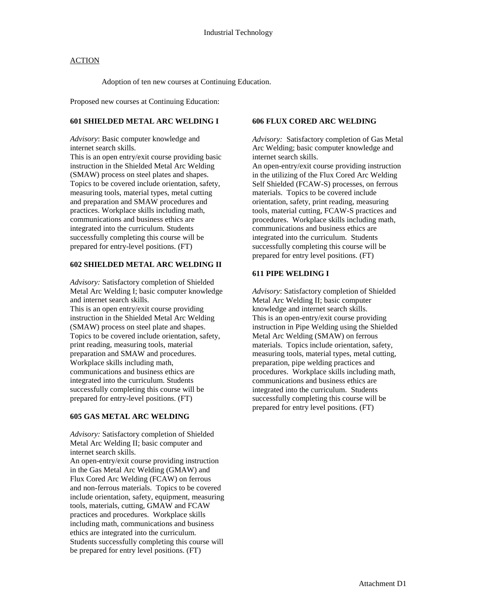Adoption of ten new courses at Continuing Education.

Proposed new courses at Continuing Education:

### **601 SHIELDED METAL ARC WELDING I**

*Advisory*: Basic computer knowledge and internet search skills.

This is an open entry/exit course providing basic instruction in the Shielded Metal Arc Welding (SMAW) process on steel plates and shapes. Topics to be covered include orientation, safety, measuring tools, material types, metal cutting and preparation and SMAW procedures and practices. Workplace skills including math, communications and business ethics are integrated into the curriculum. Students successfully completing this course will be prepared for entry-level positions. (FT)

#### **602 SHIELDED METAL ARC WELDING II**

*Advisory:* Satisfactory completion of Shielded Metal Arc Welding I; basic computer knowledge and internet search skills. This is an open entry/exit course providing instruction in the Shielded Metal Arc Welding (SMAW) process on steel plate and shapes. Topics to be covered include orientation, safety, print reading, measuring tools, material preparation and SMAW and procedures. Workplace skills including math, communications and business ethics are integrated into the curriculum. Students successfully completing this course will be prepared for entry-level positions. (FT)

#### **605 GAS METAL ARC WELDING**

*Advisory:* Satisfactory completion of Shielded Metal Arc Welding II; basic computer and internet search skills. An open-entry/exit course providing instruction in the Gas Metal Arc Welding (GMAW) and Flux Cored Arc Welding (FCAW) on ferrous and non-ferrous materials. Topics to be covered include orientation, safety, equipment, measuring tools, materials, cutting, GMAW and FCAW practices and procedures. Workplace skills including math, communications and business ethics are integrated into the curriculum. Students successfully completing this course will be prepared for entry level positions. (FT)

#### **606 FLUX CORED ARC WELDING**

*Advisory:* Satisfactory completion of Gas Metal Arc Welding; basic computer knowledge and internet search skills.

An open-entry/exit course providing instruction in the utilizing of the Flux Cored Arc Welding Self Shielded (FCAW-S) processes, on ferrous materials. Topics to be covered include orientation, safety, print reading, measuring tools, material cutting, FCAW-S practices and procedures. Workplace skills including math, communications and business ethics are integrated into the curriculum. Students successfully completing this course will be prepared for entry level positions. (FT)

#### **611 PIPE WELDING I**

*Advisory*: Satisfactory completion of Shielded Metal Arc Welding II; basic computer knowledge and internet search skills. This is an open-entry/exit course providing instruction in Pipe Welding using the Shielded Metal Arc Welding (SMAW) on ferrous materials. Topics include orientation, safety, measuring tools, material types, metal cutting, preparation, pipe welding practices and procedures. Workplace skills including math, communications and business ethics are integrated into the curriculum. Students successfully completing this course will be prepared for entry level positions. (FT)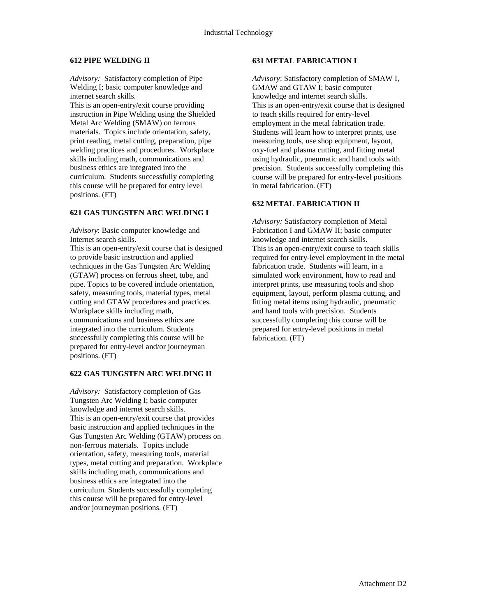#### **612 PIPE WELDING II**

*Advisory:* Satisfactory completion of Pipe Welding I; basic computer knowledge and internet search skills.

This is an open-entry/exit course providing instruction in Pipe Welding using the Shielded Metal Arc Welding (SMAW) on ferrous materials. Topics include orientation, safety, print reading, metal cutting, preparation, pipe welding practices and procedures. Workplace skills including math, communications and business ethics are integrated into the curriculum. Students successfully completing this course will be prepared for entry level positions. (FT)

### **621 GAS TUNGSTEN ARC WELDING I**

*Advisory*: Basic computer knowledge and Internet search skills. This is an open-entry/exit course that is designed

to provide basic instruction and applied techniques in the Gas Tungsten Arc Welding (GTAW) process on ferrous sheet, tube, and pipe. Topics to be covered include orientation, safety, measuring tools, material types, metal cutting and GTAW procedures and practices. Workplace skills including math, communications and business ethics are integrated into the curriculum. Students successfully completing this course will be prepared for entry-level and/or journeyman positions. (FT)

#### **622 GAS TUNGSTEN ARC WELDING II**

*Advisory:* Satisfactory completion of Gas Tungsten Arc Welding I; basic computer knowledge and internet search skills. This is an open-entry/exit course that provides basic instruction and applied techniques in the Gas Tungsten Arc Welding (GTAW) process on non-ferrous materials. Topics include orientation, safety, measuring tools, material types, metal cutting and preparation. Workplace skills including math, communications and business ethics are integrated into the curriculum. Students successfully completing this course will be prepared for entry-level and/or journeyman positions. (FT)

#### **631 METAL FABRICATION I**

*Advisory*: Satisfactory completion of SMAW I, GMAW and GTAW I; basic computer knowledge and internet search skills. This is an open-entry/exit course that is designed to teach skills required for entry-level employment in the metal fabrication trade. Students will learn how to interpret prints, use measuring tools, use shop equipment, layout, oxy-fuel and plasma cutting, and fitting metal using hydraulic, pneumatic and hand tools with precision. Students successfully completing this course will be prepared for entry-level positions in metal fabrication. (FT)

#### **632 METAL FABRICATION II**

*Advisory:* Satisfactory completion of Metal Fabrication I and GMAW II; basic computer knowledge and internet search skills. This is an open-entry/exit course to teach skills required for entry-level employment in the metal fabrication trade. Students will learn, in a simulated work environment, how to read and interpret prints, use measuring tools and shop equipment, layout, perform plasma cutting, and fitting metal items using hydraulic, pneumatic and hand tools with precision. Students successfully completing this course will be prepared for entry-level positions in metal fabrication. (FT)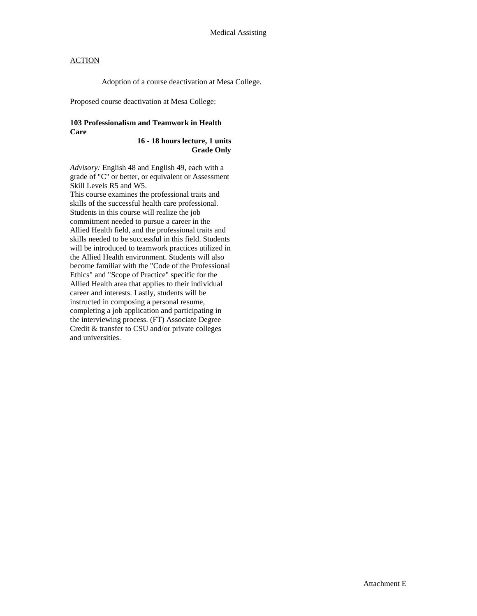Adoption of a course deactivation at Mesa College.

Proposed course deactivation at Mesa College:

#### **103 Professionalism and Teamwork in Health Care**

**16 - 18 hours lecture, 1 units Grade Only**

*Advisory:* English 48 and English 49, each with a grade of "C" or better, or equivalent or Assessment Skill Levels R5 and W5.

This course examines the professional traits and skills of the successful health care professional. Students in this course will realize the job commitment needed to pursue a career in the Allied Health field, and the professional traits and skills needed to be successful in this field. Students will be introduced to teamwork practices utilized in the Allied Health environment. Students will also become familiar with the "Code of the Professional Ethics" and "Scope of Practice" specific for the Allied Health area that applies to their individual career and interests. Lastly, students will be instructed in composing a personal resume, completing a job application and participating in the interviewing process. (FT) Associate Degree Credit & transfer to CSU and/or private colleges and universities.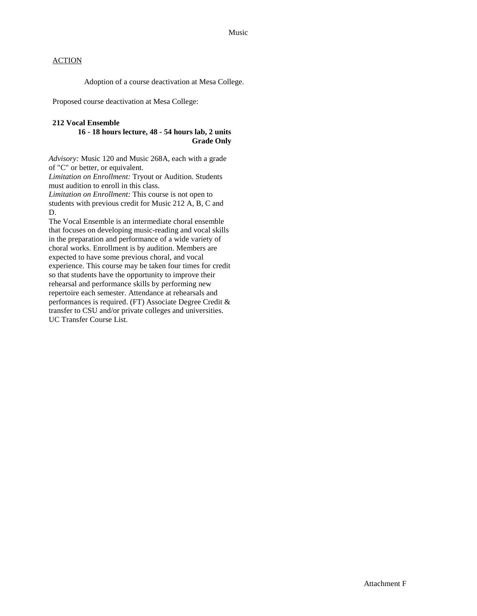Adoption of a course deactivation at Mesa College.

Proposed course deactivation at Mesa College:

#### **212 Vocal Ensemble**

#### **16 - 18 hours lecture, 48 - 54 hours lab, 2 units Grade Only**

*Advisory:* Music 120 and Music 268A, each with a grade of "C" or better, or equivalent.

*Limitation on Enrollment:* Tryout or Audition. Students must audition to enroll in this class.

*Limitation on Enrollment:* This course is not open to students with previous credit for Music 212 A, B, C and D.

The Vocal Ensemble is an intermediate choral ensemble that focuses on developing music-reading and vocal skills in the preparation and performance of a wide variety of choral works. Enrollment is by audition. Members are expected to have some previous choral, and vocal experience. This course may be taken four times for credit so that students have the opportunity to improve their rehearsal and performance skills by performing new repertoire each semester. Attendance at rehearsals and performances is required. (FT) Associate Degree Credit & transfer to CSU and/or private colleges and universities. UC Transfer Course List.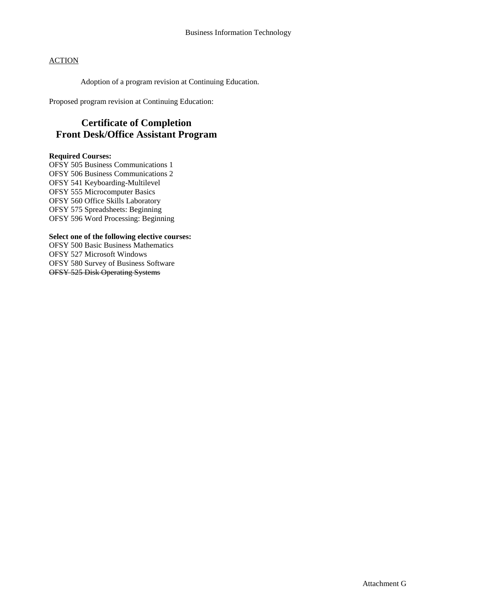Adoption of a program revision at Continuing Education.

Proposed program revision at Continuing Education:

# **Certificate of Completion Front Desk/Office Assistant Program**

#### **Required Courses:**

OFSY 505 Business Communications 1 OFSY 506 Business Communications 2 OFSY 541 Keyboarding-Multilevel OFSY 555 Microcomputer Basics OFSY 560 Office Skills Laboratory OFSY 575 Spreadsheets: Beginning OFSY 596 Word Processing: Beginning

#### **Select one of the following elective courses:**

OFSY 500 Basic Business Mathematics OFSY 527 Microsoft Windows OFSY 580 Survey of Business Software OFSY 525 Disk Operating Systems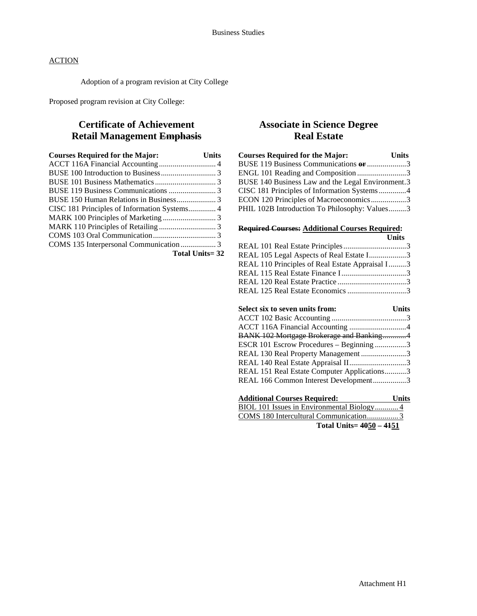Adoption of a program revision at City College

Proposed program revision at City College:

# **Certificate of Achievement Retail Management Emphasis**

| <b>Courses Required for the Major:</b>       | Units |
|----------------------------------------------|-------|
|                                              |       |
|                                              |       |
|                                              |       |
|                                              |       |
|                                              |       |
| CISC 181 Principles of Information Systems 4 |       |
|                                              |       |
|                                              |       |
|                                              |       |
|                                              |       |
| <b>Total Units=32</b>                        |       |

# **Associate in Science Degree Real Estate**

| <b>Courses Required for the Major:</b>            | <b>Units</b> |
|---------------------------------------------------|--------------|
| BUSE 119 Business Communications or 3             |              |
| ENGL 101 Reading and Composition 3                |              |
| BUSE 140 Business Law and the Legal Environment.3 |              |
| CISC 181 Principles of Information Systems4       |              |
| ECON 120 Principles of Macroeconomics3            |              |
| PHIL 102B Introduction To Philosophy: Values3     |              |

### **Required Courses: Additional Courses Required:**

|                                                                                      | Units        |
|--------------------------------------------------------------------------------------|--------------|
|                                                                                      |              |
| REAL 105 Legal Aspects of Real Estate I3                                             |              |
| REAL 110 Principles of Real Estate Appraisal I3                                      |              |
|                                                                                      |              |
|                                                                                      |              |
| REAL 125 Real Estate Economics 3                                                     |              |
|                                                                                      |              |
| Select six to seven units from:                                                      | <b>Units</b> |
|                                                                                      |              |
|                                                                                      |              |
| BANK 102 Mortgage Brokerage and Banking4                                             |              |
| ESCR 101 Escrow Procedures - Beginning 3                                             |              |
| REAL 130 Real Property Management 3                                                  |              |
| REAL 140 Real Estate Appraisal II3                                                   |              |
| REAL 151 Real Estate Computer Applications3                                          |              |
| REAL 166 Common Interest Development3                                                |              |
|                                                                                      |              |
| <b>Additional Courses Required:</b>                                                  | <b>Units</b> |
| $\overline{RIOI}$ , 101 Issues in Environmental $\overline{Rio}$ logy $\overline{A}$ |              |

| BIOL 101 Issues in Environmental Biology4 |
|-------------------------------------------|
| COMS 180 Intercultural Communication3     |
| Total Units= 4050 - 4151                  |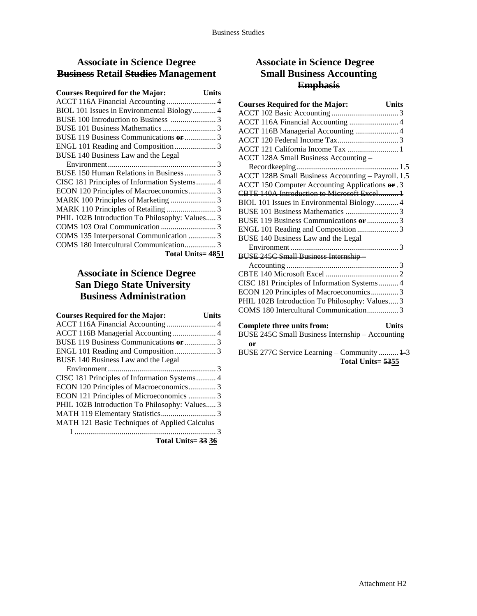# **Associate in Science Degree Business Retail Studies Management**

| <b>Courses Required for the Major:</b>         | Units |
|------------------------------------------------|-------|
| ACCT 116A Financial Accounting  4              |       |
| BIOL 101 Issues in Environmental Biology 4     |       |
|                                                |       |
|                                                |       |
|                                                |       |
|                                                |       |
| BUSE 140 Business Law and the Legal            |       |
|                                                |       |
|                                                |       |
| CISC 181 Principles of Information Systems 4   |       |
| ECON 120 Principles of Macroeconomics 3        |       |
|                                                |       |
|                                                |       |
| PHIL 102B Introduction To Philosophy: Values 3 |       |
|                                                |       |
| COMS 135 Interpersonal Communication  3        |       |
|                                                |       |
| Total Units=4851                               |       |

# **Associate in Science Degree San Diego State University Business Administration**

| <b>Courses Required for the Major:</b>         | Units |
|------------------------------------------------|-------|
|                                                |       |
| ACCT 116B Managerial Accounting  4             |       |
|                                                |       |
|                                                |       |
| BUSE 140 Business Law and the Legal            |       |
|                                                |       |
| CISC 181 Principles of Information Systems 4   |       |
| ECON 120 Principles of Macroeconomics 3        |       |
| ECON 121 Principles of Microeconomics  3       |       |
| PHIL 102B Introduction To Philosophy: Values 3 |       |
|                                                |       |
| MATH 121 Basic Techniques of Applied Calculus  |       |
|                                                |       |

**Total Units= 33 36**

# **Associate in Science Degree Small Business Accounting Emphasis**

| <b>Courses Required for the Major:</b>                                 | <b>Units</b> |
|------------------------------------------------------------------------|--------------|
|                                                                        |              |
| ACCT 116A Financial Accounting  4                                      |              |
| ACCT 116B Managerial Accounting  4                                     |              |
|                                                                        |              |
| ACCT 121 California Income Tax  1                                      |              |
| ACCT 128A Small Business Accounting -                                  |              |
|                                                                        |              |
| ACCT 128B Small Business Accounting - Payroll. 1.5                     |              |
| ACCT 150 Computer Accounting Applications or .3                        |              |
|                                                                        |              |
| BIOL 101 Issues in Environmental Biology 4                             |              |
|                                                                        |              |
| BUSE 119 Business Communications or  3                                 |              |
|                                                                        |              |
| BUSE 140 Business Law and the Legal                                    |              |
|                                                                        |              |
| <b>BUSE 245C Small Business Internship-</b>                            |              |
|                                                                        |              |
|                                                                        |              |
| $CICC 101$ $D_{\text{min}}$ is less of Life suppliers $C_{\text{min}}$ |              |

| Complete three units from.                     | <b>I</b> Inite |
|------------------------------------------------|----------------|
|                                                |                |
| PHIL 102B Introduction To Philosophy: Values 3 |                |
| ECON 120 Principles of Macroeconomics3         |                |
| CISC 181 Principles of Information Systems4    |                |

| Complete three units if only                     | ушь |
|--------------------------------------------------|-----|
| BUSE 245C Small Business Internship – Accounting |     |
| or                                               |     |

BUSE 277C Service Learning – Community .......... 1-3 **Total Units= 5355**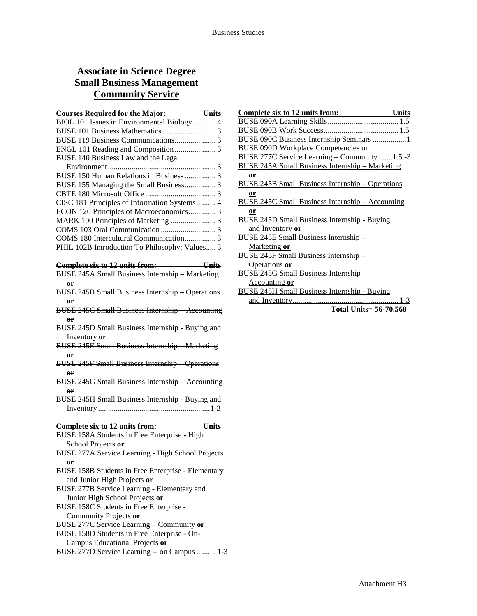# **Associate in Science Degree Small Business Management Community Service**

| <b>Courses Required for the Major:</b>         | <b>Units</b> |
|------------------------------------------------|--------------|
| BIOL 101 Issues in Environmental Biology 4     |              |
|                                                |              |
|                                                |              |
|                                                |              |
| BUSE 140 Business Law and the Legal            |              |
|                                                |              |
| BUSE 150 Human Relations in Business3          |              |
| BUSE 155 Managing the Small Business3          |              |
|                                                |              |
| CISC 181 Principles of Information Systems 4   |              |
| ECON 120 Principles of Macroeconomics3         |              |
|                                                |              |
|                                                |              |
|                                                |              |
| PHIL 102B Introduction To Philosophy: Values 3 |              |

#### **Complete six to 12 units from: Units**

- BUSE 245A Small Business Internship Marketing **or**
- BUSE 245B Small Business Internship Operations **or**
- BUSE 245C Small Business Internship Accounting **or**
- BUSE 245D Small Business Internship Buying and Inventory **or**
- BUSE 245E Small Business Internship Marketing **or**
- BUSE 245F Small Business Internship Operations **or**
- BUSE 245G Small Business Internship Accounting **or**
- BUSE 245H Small Business Internship Buying and Inventory .........................................................1-3
- **Complete six to 12 units from: Units**

- BUSE 158A Students in Free Enterprise High School Projects **or**
- BUSE 277A Service Learning High School Projects **or**
- BUSE 158B Students in Free Enterprise Elementary and Junior High Projects **or**
- BUSE 277B Service Learning Elementary and Junior High School Projects **or**
- BUSE 158C Students in Free Enterprise Community Projects **or**
- BUSE 277C Service Learning Community **or**
- BUSE 158D Students in Free Enterprise On-
- Campus Educational Projects **or**
- BUSE 277D Service Learning -- on Campus.......... 1-3

| <b>Complete six to 12 units from:</b><br><b>Units</b>   |
|---------------------------------------------------------|
|                                                         |
|                                                         |
| BUSE 090C Business Internship Seminars 1                |
| <b>BUSE 090D Workplace Competencies or</b>              |
| BUSE 277C Service Learning Community 1.5 3              |
| <b>BUSE 245A Small Business Internship - Marketing</b>  |
| or                                                      |
| <b>BUSE 245B Small Business Internship - Operations</b> |
| <b>or</b>                                               |
| <b>BUSE 245C Small Business Internship - Accounting</b> |
| $or$                                                    |
| <b>BUSE 245D Small Business Internship - Buying</b>     |
| and Inventory or                                        |
| <b>BUSE 245E Small Business Internship -</b>            |
| Marketing or                                            |
| BUSE 245F Small Business Internship-                    |
| Operations or                                           |
| BUSE 245G Small Business Internship-                    |
| <u>Accounting or</u>                                    |
| <b>BUSE 245H Small Business Internship - Buying</b>     |
|                                                         |
| Total Units= 56-70.568                                  |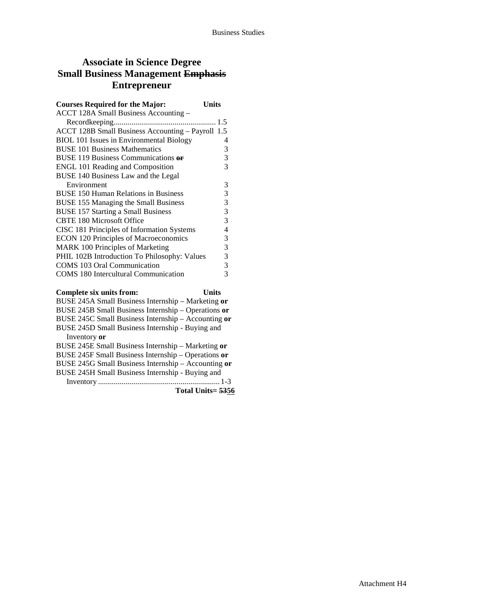### **Associate in Science Degree Small Business Management Emphasis Entrepreneur**

| <b>Courses Required for the Major:</b>            | Units |
|---------------------------------------------------|-------|
| ACCT 128A Small Business Accounting -             |       |
|                                                   |       |
| ACCT 128B Small Business Accounting - Payroll 1.5 |       |
| BIOL 101 Issues in Environmental Biology          | 4     |
| <b>BUSE 101 Business Mathematics</b>              | 3     |
| BUSE 119 Business Communications or               | 3     |
| <b>ENGL 101 Reading and Composition</b>           | 3     |
| BUSE 140 Business Law and the Legal               |       |
| Environment                                       | 3     |
| <b>BUSE 150 Human Relations in Business</b>       | 3     |
| <b>BUSE 155 Managing the Small Business</b>       | 3     |
| <b>BUSE 157 Starting a Small Business</b>         | 3     |
| <b>CBTE 180 Microsoft Office</b>                  | 3     |
| CISC 181 Principles of Information Systems        | 4     |
| <b>ECON 120 Principles of Macroeconomics</b>      | 3     |
| <b>MARK 100 Principles of Marketing</b>           | 3     |
| PHIL 102B Introduction To Philosophy: Values      | 3     |
| COMS 103 Oral Communication                       | 3     |
| <b>COMS</b> 180 Intercultural Communication       | 3     |
| Complete six units from:                          | Units |

**Total Units= 5356**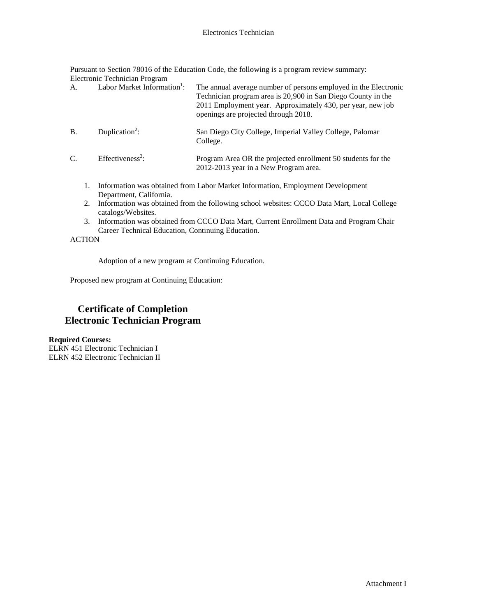Pursuant to Section 78016 of the Education Code, the following is a program review summary: Electronic Technician Program

|                 |    | Encentre Feemingham Frogram             |                                                                                                                                                                                                                                       |
|-----------------|----|-----------------------------------------|---------------------------------------------------------------------------------------------------------------------------------------------------------------------------------------------------------------------------------------|
| A.              |    | Labor Market Information <sup>1</sup> : | The annual average number of persons employed in the Electronic<br>Technician program area is 20,900 in San Diego County in the<br>2011 Employment year. Approximately 430, per year, new job<br>openings are projected through 2018. |
| <b>B.</b>       |    | Duplication <sup>2</sup> :              | San Diego City College, Imperial Valley College, Palomar<br>College.                                                                                                                                                                  |
| $\mathcal{C}$ . |    | Effectiveness <sup>3</sup> :            | Program Area OR the projected enrollment 50 students for the<br>2012-2013 year in a New Program area.                                                                                                                                 |
|                 | 1. | Department, California.                 | Information was obtained from Labor Market Information, Employment Development                                                                                                                                                        |

- 2. Information was obtained from the following school websites: CCCO Data Mart, Local College catalogs/Websites.
- 3. Information was obtained from CCCO Data Mart, Current Enrollment Data and Program Chair Career Technical Education, Continuing Education.

### **ACTION**

Adoption of a new program at Continuing Education.

Proposed new program at Continuing Education:

# **Certificate of Completion Electronic Technician Program**

**Required Courses:** ELRN 451 Electronic Technician I ELRN 452 Electronic Technician II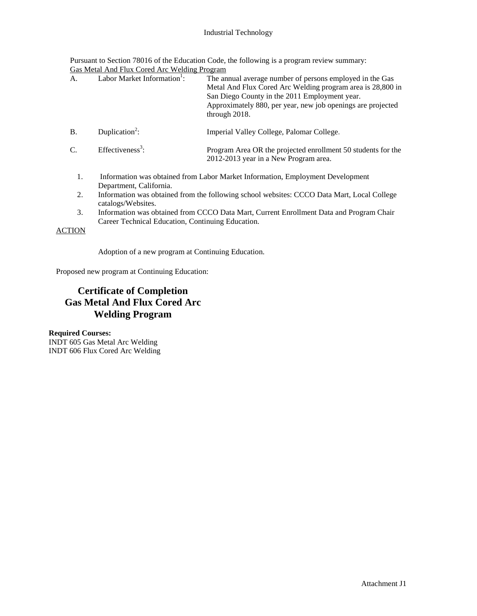#### Industrial Technology

Pursuant to Section 78016 of the Education Code, the following is a program review summary: Gas Metal And Flux Cored Arc Welding Program

| A.              | Labor Market Information <sup>1</sup> :           | The annual average number of persons employed in the Gas<br>Metal And Flux Cored Arc Welding program area is 28,800 in<br>San Diego County in the 2011 Employment year.<br>Approximately 880, per year, new job openings are projected<br>through 2018. |
|-----------------|---------------------------------------------------|---------------------------------------------------------------------------------------------------------------------------------------------------------------------------------------------------------------------------------------------------------|
| <b>B.</b>       | Duplication <sup>2</sup> :                        | Imperial Valley College, Palomar College.                                                                                                                                                                                                               |
| $\mathcal{C}$ . | Effectiveness <sup>3</sup> :                      | Program Area OR the projected enrollment 50 students for the<br>2012-2013 year in a New Program area.                                                                                                                                                   |
| 1.              | Department, California.                           | Information was obtained from Labor Market Information, Employment Development                                                                                                                                                                          |
| 2.              | catalogs/Websites.                                | Information was obtained from the following school websites: CCCO Data Mart, Local College                                                                                                                                                              |
| 3.              | Career Technical Education, Continuing Education. | Information was obtained from CCCO Data Mart, Current Enrollment Data and Program Chair                                                                                                                                                                 |

**ACTION** 

Adoption of a new program at Continuing Education.

Proposed new program at Continuing Education:

# **Certificate of Completion Gas Metal And Flux Cored Arc Welding Program**

**Required Courses:** INDT 605 Gas Metal Arc Welding INDT 606 Flux Cored Arc Welding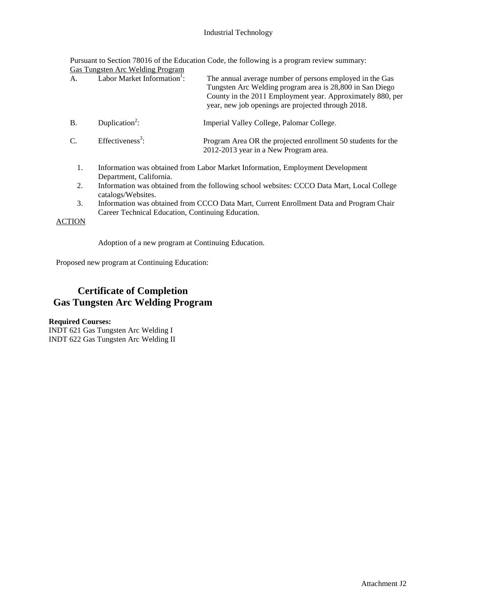#### Industrial Technology

Pursuant to Section 78016 of the Education Code, the following is a program review summary: Gas Tungsten Arc Welding Program

| А.            | <u>Oas Tungsten Are weitung Flogfalli</u><br>Labor Market Information <sup>1</sup> : | The annual average number of persons employed in the Gas<br>Tungsten Arc Welding program area is 28,800 in San Diego<br>County in the 2011 Employment year. Approximately 880, per<br>year, new job openings are projected through 2018. |
|---------------|--------------------------------------------------------------------------------------|------------------------------------------------------------------------------------------------------------------------------------------------------------------------------------------------------------------------------------------|
| <b>B.</b>     | Duplication <sup>2</sup> :                                                           | Imperial Valley College, Palomar College.                                                                                                                                                                                                |
| C.            | Effectiveness <sup>3</sup> :                                                         | Program Area OR the projected enrollment 50 students for the<br>2012-2013 year in a New Program area.                                                                                                                                    |
| 1.            | Department, California.                                                              | Information was obtained from Labor Market Information, Employment Development                                                                                                                                                           |
| 2.            | catalogs/Websites.                                                                   | Information was obtained from the following school websites: CCCO Data Mart, Local College                                                                                                                                               |
| 3.            | Career Technical Education, Continuing Education.                                    | Information was obtained from CCCO Data Mart, Current Enrollment Data and Program Chair                                                                                                                                                  |
| <b>ACTION</b> |                                                                                      |                                                                                                                                                                                                                                          |

Adoption of a new program at Continuing Education.

Proposed new program at Continuing Education:

# **Certificate of Completion Gas Tungsten Arc Welding Program**

### **Required Courses:**

INDT 621 Gas Tungsten Arc Welding I INDT 622 Gas Tungsten Arc Welding II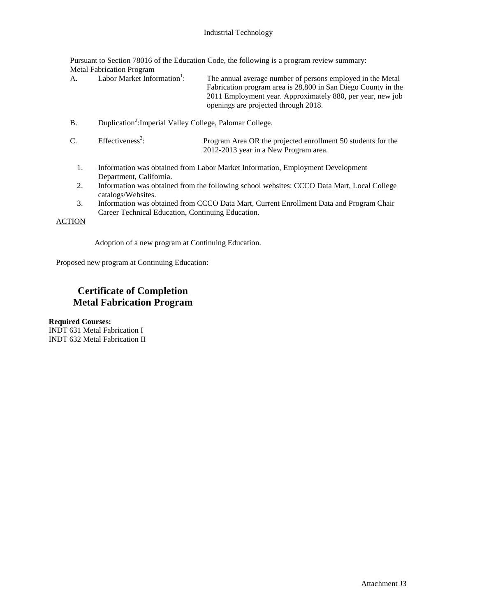Pursuant to Section 78016 of the Education Code, the following is a program review summary: Metal Fabrication Program

| A. | Labor Market Information <sup>1</sup> : | The annual average number of persons employed in the Metal    |
|----|-----------------------------------------|---------------------------------------------------------------|
|    |                                         | Fabrication program area is 28,800 in San Diego County in the |
|    |                                         | 2011 Employment year. Approximately 880, per year, new job    |
|    |                                         | openings are projected through 2018.                          |

B. Duplication<sup>2</sup>: Imperial Valley College, Palomar College.

| $\sim$<br>Ć. | Effectiveness <sup>3</sup> : | Program Area OR the projected enrollment 50 students for the |
|--------------|------------------------------|--------------------------------------------------------------|
|              |                              | 2012-2013 year in a New Program area.                        |

- 1. Information was obtained from Labor Market Information, Employment Development Department, California.
- 2. Information was obtained from the following school websites: CCCO Data Mart, Local College catalogs/Websites.
- 3. Information was obtained from CCCO Data Mart, Current Enrollment Data and Program Chair Career Technical Education, Continuing Education.

ACTION

Adoption of a new program at Continuing Education.

Proposed new program at Continuing Education:

# **Certificate of Completion Metal Fabrication Program**

**Required Courses:** INDT 631 Metal Fabrication I INDT 632 Metal Fabrication II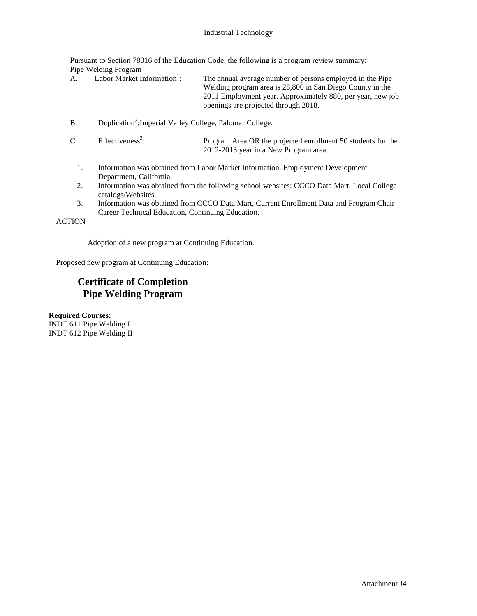Pursuant to Section 78016 of the Education Code, the following is a program review summary: Pipe Welding Program

| A. | Labor Market Information <sup>1</sup> : | The annual average number of persons employed in the Pipe<br>Welding program area is 28,800 in San Diego County in the |
|----|-----------------------------------------|------------------------------------------------------------------------------------------------------------------------|
|    |                                         | 2011 Employment year. Approximately 880, per year, new job<br>openings are projected through 2018.                     |
|    |                                         |                                                                                                                        |

B. Duplication<sup>2</sup>: Imperial Valley College, Palomar College.

| $\sim$<br>Ć. | Effectiveness <sup>3</sup> : | Program Area OR the projected enrollment 50 students for the |
|--------------|------------------------------|--------------------------------------------------------------|
|              |                              | 2012-2013 year in a New Program area.                        |

- 1. Information was obtained from Labor Market Information, Employment Development Department, California.
- 2. Information was obtained from the following school websites: CCCO Data Mart, Local College catalogs/Websites.
- 3. Information was obtained from CCCO Data Mart, Current Enrollment Data and Program Chair Career Technical Education, Continuing Education.

ACTION

Adoption of a new program at Continuing Education.

Proposed new program at Continuing Education:

# **Certificate of Completion Pipe Welding Program**

**Required Courses:** INDT 611 Pipe Welding I INDT 612 Pipe Welding II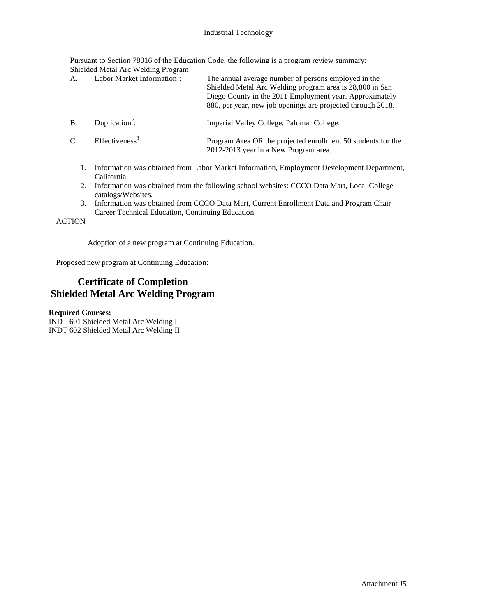#### Industrial Technology

Pursuant to Section 78016 of the Education Code, the following is a program review summary: Shielded Metal Arc Welding Program

| A.            | Labor Market Information <sup>1</sup> : | The annual average number of persons employed in the<br>Shielded Metal Arc Welding program area is 28,800 in San<br>Diego County in the 2011 Employment year. Approximately<br>880, per year, new job openings are projected through 2018. |
|---------------|-----------------------------------------|--------------------------------------------------------------------------------------------------------------------------------------------------------------------------------------------------------------------------------------------|
| <b>B</b> .    | Duplication <sup>2</sup> :              | Imperial Valley College, Palomar College.                                                                                                                                                                                                  |
| $\mathcal{C}$ | Effectiveness <sup>3</sup> :            | Program Area OR the projected enrollment 50 students for the<br>2012-2013 year in a New Program area.                                                                                                                                      |
|               |                                         |                                                                                                                                                                                                                                            |

- 1. Information was obtained from Labor Market Information, Employment Development Department, California.
- 2. Information was obtained from the following school websites: CCCO Data Mart, Local College catalogs/Websites.
- 3. Information was obtained from CCCO Data Mart, Current Enrollment Data and Program Chair Career Technical Education, Continuing Education.

ACTION

Adoption of a new program at Continuing Education.

Proposed new program at Continuing Education:

# **Certificate of Completion Shielded Metal Arc Welding Program**

**Required Courses:**

INDT 601 Shielded Metal Arc Welding I INDT 602 Shielded Metal Arc Welding II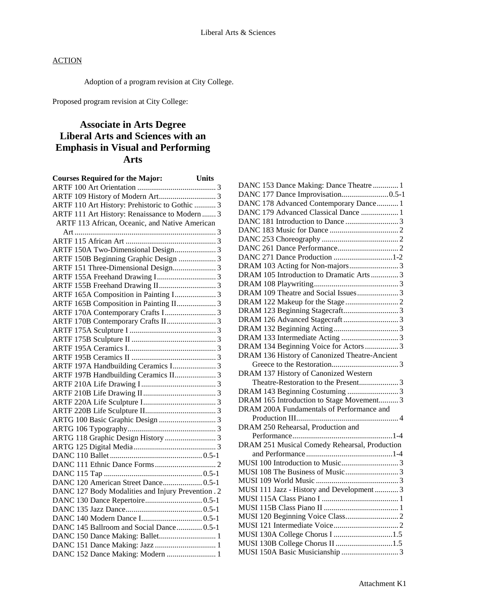Adoption of a program revision at City College.

Proposed program revision at City College:

# **Associate in Arts Degree Liberal Arts and Sciences with an Emphasis in Visual and Performing Arts**

| <b>Courses Required for the Major:</b>             | <b>Units</b> |
|----------------------------------------------------|--------------|
|                                                    |              |
|                                                    |              |
| ARTF 110 Art History: Prehistoric to Gothic  3     |              |
| ARTF 111 Art History: Renaissance to Modern  3     |              |
| ARTF 113 African, Oceanic, and Native American     |              |
|                                                    |              |
|                                                    |              |
|                                                    |              |
| ARTF 150B Beginning Graphic Design  3              |              |
| ARTF 151 Three-Dimensional Design 3                |              |
|                                                    |              |
|                                                    |              |
| ARTF 165A Composition in Painting I 3              |              |
| ARTF 165B Composition in Painting II 3             |              |
|                                                    |              |
|                                                    |              |
|                                                    |              |
|                                                    |              |
|                                                    |              |
|                                                    |              |
| ARTF 197A Handbuilding Ceramics I 3                |              |
| ARTF 197B Handbuilding Ceramics II 3               |              |
|                                                    |              |
|                                                    |              |
|                                                    |              |
|                                                    |              |
|                                                    |              |
|                                                    |              |
|                                                    |              |
|                                                    |              |
|                                                    |              |
|                                                    |              |
|                                                    |              |
| DANC 120 American Street Dance 0.5-1               |              |
| DANC 127 Body Modalities and Injury Prevention . 2 |              |
|                                                    |              |
|                                                    |              |
|                                                    |              |
| DANC 145 Ballroom and Social Dance 0.5-1           |              |
|                                                    |              |
|                                                    |              |
| DANC 152 Dance Making: Modern  1                   |              |

| DANC 153 Dance Making: Dance Theatre  1       |
|-----------------------------------------------|
|                                               |
| DANC 178 Advanced Contemporary Dance 1        |
| DANC 179 Advanced Classical Dance  1          |
|                                               |
|                                               |
|                                               |
|                                               |
| DANC 271 Dance Production 1-2                 |
| DRAM 103 Acting for Non-majors3               |
| DRAM 105 Introduction to Dramatic Arts  3     |
|                                               |
| DRAM 109 Theatre and Social Issues3           |
|                                               |
|                                               |
|                                               |
|                                               |
|                                               |
| DRAM 134 Beginning Voice for Actors  3        |
| DRAM 136 History of Canonized Theatre-Ancient |
|                                               |
| DRAM 137 History of Canonized Western         |
|                                               |
|                                               |
| DRAM 165 Introduction to Stage Movement 3     |
| DRAM 200A Fundamentals of Performance and     |
|                                               |
| DRAM 250 Rehearsal, Production and            |
|                                               |
| DRAM 251 Musical Comedy Rehearsal, Production |
|                                               |
|                                               |
|                                               |
|                                               |
| MUSI 111 Jazz - History and Development  3    |
|                                               |
|                                               |
|                                               |
| MUSI 130A College Chorus I 1.5                |
| MUSI 130B College Chorus II 1.5               |
|                                               |
|                                               |